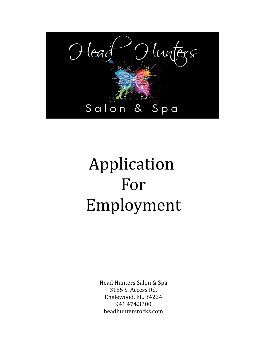

# Application For Employment

Head Hunters Salon & Spa 3155 S. Access Rd. Englewood, FL. 34224 941.474.3200 headhuntersrocks.com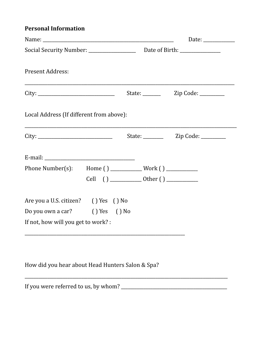### **Personal Information**

| <b>Present Address:</b>                  |  |  |
|------------------------------------------|--|--|
|                                          |  |  |
| Local Address (If different from above): |  |  |
|                                          |  |  |
|                                          |  |  |
|                                          |  |  |
|                                          |  |  |
| Are you a U.S. citizen? () Yes () No     |  |  |
| Do you own a car? () Yes () No           |  |  |
| If not, how will you get to work? :      |  |  |
|                                          |  |  |

How did you hear about Head Hunters Salon & Spa?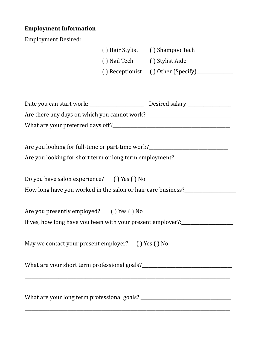# **Employment Information**

Employment Desired:

| Ellipiovillelli Desifeu:                                                         |                              |                                 |  |
|----------------------------------------------------------------------------------|------------------------------|---------------------------------|--|
|                                                                                  |                              | () Hair Stylist () Shampoo Tech |  |
|                                                                                  | () Nail Tech () Stylist Aide |                                 |  |
|                                                                                  |                              |                                 |  |
|                                                                                  |                              |                                 |  |
|                                                                                  |                              |                                 |  |
|                                                                                  |                              |                                 |  |
|                                                                                  |                              |                                 |  |
|                                                                                  |                              |                                 |  |
|                                                                                  |                              |                                 |  |
| Are you looking for full-time or part-time work?________________________________ |                              |                                 |  |
| Are you looking for short term or long term employment?_________________________ |                              |                                 |  |
|                                                                                  |                              |                                 |  |
| Do you have salon experience? () Yes () No                                       |                              |                                 |  |
| How long have you worked in the salon or hair care business?____________________ |                              |                                 |  |
|                                                                                  |                              |                                 |  |
| Are you presently employed? () Yes () No                                         |                              |                                 |  |
| If yes, how long have you been with your present employer?:_____________________ |                              |                                 |  |
|                                                                                  |                              |                                 |  |
| May we contact your present employer? () Yes () No                               |                              |                                 |  |
|                                                                                  |                              |                                 |  |
|                                                                                  |                              |                                 |  |
|                                                                                  |                              |                                 |  |
|                                                                                  |                              |                                 |  |
|                                                                                  |                              |                                 |  |
|                                                                                  |                              |                                 |  |

\_\_\_\_\_\_\_\_\_\_\_\_\_\_\_\_\_\_\_\_\_\_\_\_\_\_\_\_\_\_\_\_\_\_\_\_\_\_\_\_\_\_\_\_\_\_\_\_\_\_\_\_\_\_\_\_\_\_\_\_\_\_\_\_\_\_\_\_\_\_\_\_\_\_\_\_\_\_\_\_\_\_\_\_\_\_\_\_\_\_\_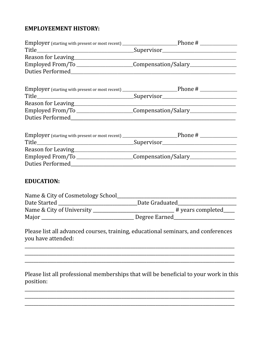#### **EMPLOYEEMENT HISTORY:**

|                                 | Employer (starting with present or most recent) __________________________Phone # ____________________________ |
|---------------------------------|----------------------------------------------------------------------------------------------------------------|
|                                 |                                                                                                                |
|                                 |                                                                                                                |
|                                 | Employed From/To _______________________Compensation/Salary_____________________                               |
|                                 |                                                                                                                |
|                                 | Employer (starting with present or most recent) __________________________Phone # __________________           |
|                                 |                                                                                                                |
|                                 |                                                                                                                |
|                                 | Employed From/To _______________________Compensation/Salary_____________________                               |
|                                 |                                                                                                                |
|                                 | Employer (starting with present or most recent) __________________________Phone # ____________________________ |
|                                 |                                                                                                                |
|                                 | Employed From/To _______________________Compensation/Salary_____________________                               |
| <b>EDUCATION:</b>               |                                                                                                                |
| Data Started and Data Craduated |                                                                                                                |

| Dale Stalleu              | Dale Giauudieu         |
|---------------------------|------------------------|
| Name & City of University | $\pm$ years completed_ |
| Major                     | Degree Earned          |

Please list all advanced courses, training, educational seminars, and conferences you have attended:

Please list all professional memberships that will be beneficial to your work in this position: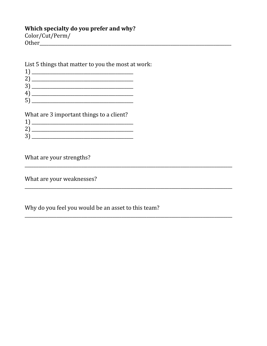#### Which specialty do you prefer and why?

Color/Cut/Perm/ 

List 5 things that matter to you the most at work:

| 3 |  |
|---|--|
| 4 |  |
| ა |  |

What are 3 important things to a client?

| ־פ<br>$\mathbf{r}$ |  |  |
|--------------------|--|--|

What are your strengths?

What are your weaknesses?

Why do you feel you would be an asset to this team?